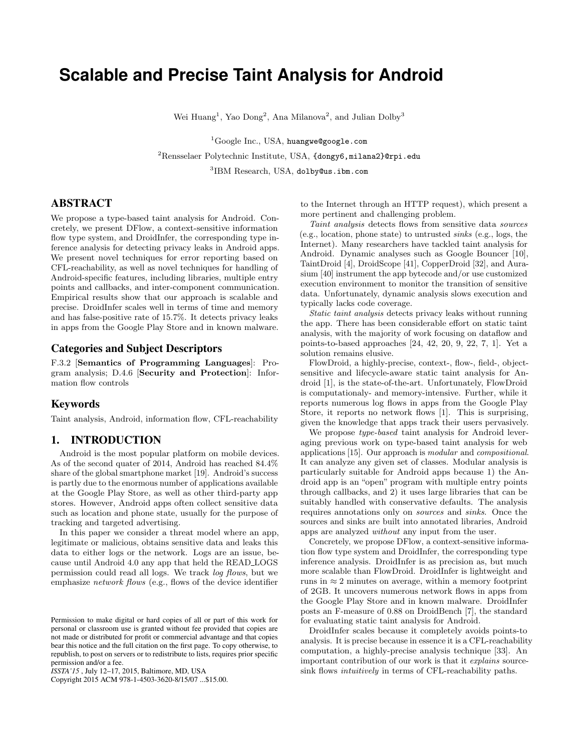# **Scalable and Precise Taint Analysis for Android**

Wei Huang<sup>1</sup>, Yao Dong<sup>2</sup>, Ana Milanova<sup>2</sup>, and Julian Dolby<sup>3</sup>

 ${}^{1}$ Google Inc., USA, huangwe@google.com

 $2R$ ensselaer Polytechnic Institute, USA, {dongy6, milana2}@rpi.edu

<sup>3</sup>IBM Research, USA, dolby@us.ibm.com

# ABSTRACT

We propose a type-based taint analysis for Android. Concretely, we present DFlow, a context-sensitive information flow type system, and DroidInfer, the corresponding type inference analysis for detecting privacy leaks in Android apps. We present novel techniques for error reporting based on CFL-reachability, as well as novel techniques for handling of Android-specific features, including libraries, multiple entry points and callbacks, and inter-component communication. Empirical results show that our approach is scalable and precise. DroidInfer scales well in terms of time and memory and has false-positive rate of 15.7%. It detects privacy leaks in apps from the Google Play Store and in known malware.

## Categories and Subject Descriptors

F.3.2 [Semantics of Programming Languages]: Program analysis; D.4.6 [Security and Protection]: Information flow controls

## Keywords

Taint analysis, Android, information flow, CFL-reachability

## 1. INTRODUCTION

Android is the most popular platform on mobile devices. As of the second quater of 2014, Android has reached 84.4% share of the global smartphone market [19]. Android's success is partly due to the enormous number of applications available at the Google Play Store, as well as other third-party app stores. However, Android apps often collect sensitive data such as location and phone state, usually for the purpose of tracking and targeted advertising.

In this paper we consider a threat model where an app, legitimate or malicious, obtains sensitive data and leaks this data to either logs or the network. Logs are an issue, because until Android 4.0 any app that held the READ LOGS permission could read all logs. We track *log flows*, but we emphasize *network flows* (e.g., flows of the device identifier

Copyright 2015 ACM 978-1-4503-3620-8/15/07 ...\$15.00.

to the Internet through an HTTP request), which present a more pertinent and challenging problem.

*Taint analysis* detects flows from sensitive data *sources* (e.g., location, phone state) to untrusted *sinks* (e.g., logs, the Internet). Many researchers have tackled taint analysis for Android. Dynamic analyses such as Google Bouncer [10], TaintDroid [4], DroidScope [41], CopperDroid [32], and Aurasium [40] instrument the app bytecode and/or use customized execution environment to monitor the transition of sensitive data. Unfortunately, dynamic analysis slows execution and typically lacks code coverage.

*Static taint analysis* detects privacy leaks without running the app. There has been considerable effort on static taint analysis, with the majority of work focusing on dataflow and points-to-based approaches [24, 42, 20, 9, 22, 7, 1]. Yet a solution remains elusive.

FlowDroid, a highly-precise, context-, flow-, field-, objectsensitive and lifecycle-aware static taint analysis for Android [1], is the state-of-the-art. Unfortunately, FlowDroid is computationaly- and memory-intensive. Further, while it reports numerous log flows in apps from the Google Play Store, it reports no network flows [1]. This is surprising, given the knowledge that apps track their users pervasively.

We propose *type-based* taint analysis for Android leveraging previous work on type-based taint analysis for web applications [15]. Our approach is *modular* and *compositional*. It can analyze any given set of classes. Modular analysis is particularly suitable for Android apps because 1) the Android app is an "open" program with multiple entry points through callbacks, and 2) it uses large libraries that can be suitably handled with conservative defaults. The analysis requires annotations only on *sources* and *sinks*. Once the sources and sinks are built into annotated libraries, Android apps are analyzed *without* any input from the user.

Concretely, we propose DFlow, a context-sensitive information flow type system and DroidInfer, the corresponding type inference analysis. DroidInfer is as precision as, but much more scalable than FlowDroid. DroidInfer is lightweight and runs in  $\approx 2$  minutes on average, within a memory footprint of 2GB. It uncovers numerous network flows in apps from the Google Play Store and in known malware. DroidInfer posts an F-measure of 0.88 on DroidBench [7], the standard for evaluating static taint analysis for Android.

DroidInfer scales because it completely avoids points-to analysis. It is precise because in essence it is a CFL-reachability computation, a highly-precise analysis technique [33]. An important contribution of our work is that it *explains* sourcesink flows *intuitively* in terms of CFL-reachability paths.

Permission to make digital or hard copies of all or part of this work for personal or classroom use is granted without fee provided that copies are not made or distributed for profit or commercial advantage and that copies bear this notice and the full citation on the first page. To copy otherwise, to republish, to post on servers or to redistribute to lists, requires prior specific permission and/or a fee.

*ISSTA'15* , July 12–17, 2015, Baltimore, MD, USA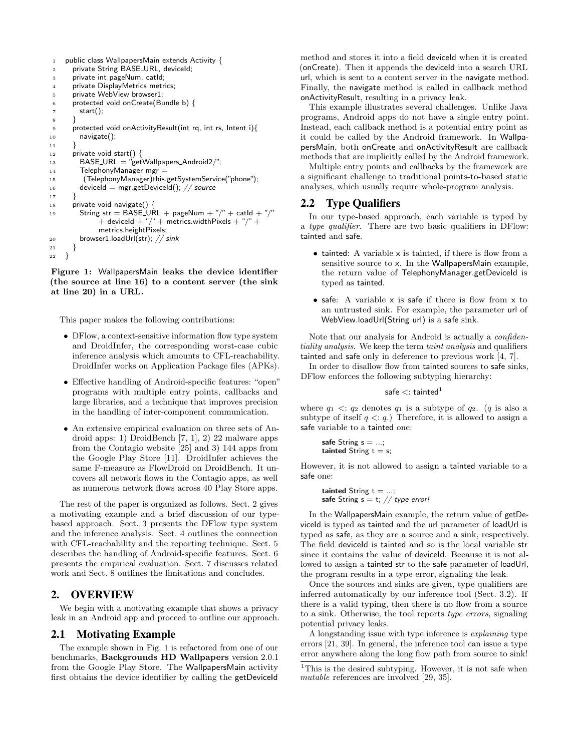```
1 public class WallpapersMain extends Activity {
      private String BASE_URL, deviceId;
 3 private int pageNum, catId;
 4 private DisplayMetrics metrics;
 5 private WebView browser1;
 6 protected void onCreate(Bundle b) {
         start();
 8 }
9 protected void onActivityResult(int rq, int rs, Intent i){
         navigate();
11 }
12 private void start() {<br>13 BASE_URL = "get
         BASE_URL = "getWallpapers_Android2/";
14 TelephonyManager mgr =
15 (TelephonyManager)this.getSystemService("phone");
16 deviceId = mgr.getDeviceId(); // source
17 }
18 private void navigate() {<br>19 String str = BASE_UI
         String str = BASE_URL + pageNum + "/" + catId + "/"
               + deviceId + "/" + metrics.widthPixeIs + "/" +metrics.heightPixels;
20 browser1.loadUrl(str); // sink
\begin{array}{c} 21 \\ 22 \end{array} }
22 }
```
Figure 1: WallpapersMain leaks the device identifier (the source at line 16) to a content server (the sink at line 20) in a URL.

This paper makes the following contributions:

- DFlow, a context-sensitive information flow type system and DroidInfer, the corresponding worst-case cubic inference analysis which amounts to CFL-reachability. DroidInfer works on Application Package files (APKs).
- Effective handling of Android-specific features: "open" programs with multiple entry points, callbacks and large libraries, and a technique that improves precision in the handling of inter-component communication.
- *•* An extensive empirical evaluation on three sets of Android apps: 1) DroidBench [7, 1], 2) 22 malware apps from the Contagio website [25] and 3) 144 apps from the Google Play Store [11]. DroidInfer achieves the same F-measure as FlowDroid on DroidBench. It uncovers all network flows in the Contagio apps, as well as numerous network flows across 40 Play Store apps.

The rest of the paper is organized as follows. Sect. 2 gives a motivating example and a brief discussion of our typebased approach. Sect. 3 presents the DFlow type system and the inference analysis. Sect. 4 outlines the connection with CFL-reachability and the reporting technique. Sect. 5 describes the handling of Android-specific features. Sect. 6 presents the empirical evaluation. Sect. 7 discusses related work and Sect. 8 outlines the limitations and concludes.

## 2. OVERVIEW

We begin with a motivating example that shows a privacy leak in an Android app and proceed to outline our approach.

#### 2.1 Motivating Example

The example shown in Fig. 1 is refactored from one of our benchmarks, Backgrounds HD Wallpapers version 2.0.1 from the Google Play Store. The WallpapersMain activity first obtains the device identifier by calling the getDeviceId

method and stores it into a field deviceld when it is created (onCreate). Then it appends the deviceId into a search URL url, which is sent to a content server in the navigate method. Finally, the navigate method is called in callback method onActivityResult, resulting in a privacy leak.

This example illustrates several challenges. Unlike Java programs, Android apps do not have a single entry point. Instead, each callback method is a potential entry point as it could be called by the Android framework. In WallpapersMain, both onCreate and onActivityResult are callback methods that are implicitly called by the Android framework.

Multiple entry points and callbacks by the framework are a significant challenge to traditional points-to-based static analyses, which usually require whole-program analysis.

## 2.2 Type Qualifiers

In our type-based approach, each variable is typed by a *type qualifier*. There are two basic qualifiers in DFlow: tainted and safe.

- tainted: A variable x is tainted, if there is flow from a sensitive source to x. In the WallpapersMain example, the return value of TelephonyManager.getDeviceId is typed as tainted.
- *•* safe: A variable x is safe if there is flow from x to an untrusted sink. For example, the parameter url of WebView.loadUrl(String url) is a safe sink.

Note that our analysis for Android is actually a *confidentiality analysis*. We keep the term *taint analysis* and qualifiers tainted and safe only in deference to previous work [4, 7].

In order to disallow flow from tainted sources to safe sinks, DFlow enforces the following subtyping hierarchy:

#### safe  $\lt$ : tainted<sup>1</sup>

where  $q_1 < q_2$  denotes  $q_1$  is a subtype of  $q_2$ . (*q* is also a subtype of itself  $q \leq q$ .) Therefore, it is allowed to assign a safe variable to a tainted one:

```
safe String s = ...;tainted String t = s;
```
However, it is not allowed to assign a tainted variable to a safe one:

**tainted** String 
$$
t = ...
$$
; **safe** String  $s = t$ ; // type error!

In the WallpapersMain example, the return value of getDeviceId is typed as tainted and the url parameter of loadUrl is typed as safe, as they are a source and a sink, respectively. The field deviceld is tainted and so is the local variable str since it contains the value of deviceId. Because it is not allowed to assign a tainted str to the safe parameter of loadUrl, the program results in a type error, signaling the leak.

Once the sources and sinks are given, type qualifiers are inferred automatically by our inference tool (Sect. 3.2). If there is a valid typing, then there is no flow from a source to a sink. Otherwise, the tool reports *type errors*, signaling potential privacy leaks.

A longstanding issue with type inference is *explaining* type errors [21, 39]. In general, the inference tool can issue a type error anywhere along the long flow path from source to sink!

<sup>&</sup>lt;sup>1</sup>This is the desired subtyping. However, it is not safe when *mutable* references are involved [29, 35].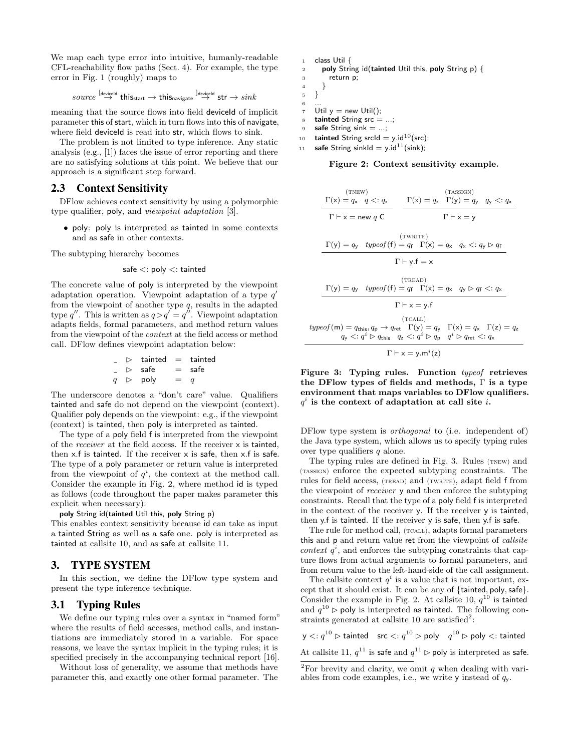We map each type error into intuitive, humanly-readable CFL-reachability flow paths (Sect. 4). For example, the type error in Fig. 1 (roughly) maps to

$$
\mathit{source} \overset{[\mathit{devigeld}]}{\rightarrow} \mathit{this}_{\mathsf{start}} \rightarrow \mathit{this}_{\mathsf{navigate}} \overset{]\mathit{devigeld}}{\rightarrow} \mathsf{str} \rightarrow \mathit{sink}
$$

meaning that the source flows into field deviceld of implicit parameter this of start, which in turn flows into this of navigate, where field deviceld is read into str, which flows to sink.

The problem is not limited to type inference. Any static analysis (e.g., [1]) faces the issue of error reporting and there are no satisfying solutions at this point. We believe that our approach is a significant step forward.

## 2.3 Context Sensitivity

DFlow achieves context sensitivity by using a polymorphic type qualifier, poly, and *viewpoint adaptation* [3].

*•* poly: poly is interpreted as tainted in some contexts and as safe in other contexts.

The subtyping hierarchy becomes

$$
\mathsf{safe} <: \mathsf{poly} <: \mathsf{tainted}
$$

The concrete value of poly is interpreted by the viewpoint adaptation operation. Viewpoint adaptation of a type *q*<sup>0</sup> from the viewpoint of another type *q*, results in the adapted type q''. This is written as  $q \triangleright q' = q''$ . Viewpoint adaptation adapts fields, formal parameters, and method return values from the viewpoint of the *context* at the field access or method call. DFlow defines viewpoint adaptation below:

$$
\begin{array}{rcl}\n\text{-} & \text{D} & \text{tainted} & = & \text{tainted} \\
\text{-} & \text{D} & \text{safe} & = & \text{safe} \\
q & \text{D} & \text{poly} & = & q\n\end{array}
$$

The underscore denotes a "don't care" value. Qualifiers tainted and safe do not depend on the viewpoint (context). Qualifier poly depends on the viewpoint: e.g., if the viewpoint (context) is tainted, then poly is interpreted as tainted.

The type of a poly field f is interpreted from the viewpoint of the *receiver* at the field access. If the receiver x is tainted, then  $x.f$  is tainted. If the receiver  $x$  is safe, then  $x.f$  is safe. The type of a poly parameter or return value is interpreted from the viewpoint of  $q^i$ , the context at the method call. Consider the example in Fig. 2, where method id is typed as follows (code throughout the paper makes parameter this explicit when necessary):

poly String id(tainted Util this, poly String p)

This enables context sensitivity because id can take as input a tainted String as well as a safe one. poly is interpreted as tainted at callsite 10, and as safe at callsite 11.

## 3. TYPE SYSTEM

In this section, we define the DFlow type system and present the type inference technique.

## 3.1 Typing Rules

We define our typing rules over a syntax in "named form" where the results of field accesses, method calls, and instantiations are immediately stored in a variable. For space reasons, we leave the syntax implicit in the typing rules; it is specified precisely in the accompanying technical report [16].

Without loss of generality, we assume that methods have parameter this, and exactly one other formal parameter. The

|                | class Util $\{$                                            |
|----------------|------------------------------------------------------------|
| $\overline{2}$ | poly String id(tainted Util this, poly String $p$ ) {      |
| 3              | return p;                                                  |
| $\overline{4}$ |                                                            |
| $\overline{5}$ |                                                            |
| 6              |                                                            |
| $\overline{7}$ | Util $y = new$ Util():                                     |
| 8              | tainted String $src = ;$                                   |
| 9              | safe String sink $=$ ;                                     |
| 10             | <b>tainted</b> String srcld = $y$ .id <sup>10</sup> (src); |

11 **safe** String sinkId = y.id<sup>11</sup>(sink);

Figure 2: Context sensitivity example.

$$
\frac{\Gamma(x) = q_x \ q \leq q_x}{\Gamma + x = new q C} \qquad \frac{\Gamma(x) = q_x \ \Gamma(y) = q_y \ q_y \leq q_x}{\Gamma + x = y}
$$
\n
$$
\frac{\Gamma(y) = q_y \ \text{typeof}(f) = q_f \ \Gamma(x) = q_x \ q_x \leq q_y \rhd q_f}{\Gamma + y_f \ f = x}
$$
\n
$$
\frac{\Gamma(y) = q_y \ \text{typeof}(f) = q_f \ \Gamma(x) = q_x \ q_y \rhd q_f \leq q_x}{\Gamma + x = y_f}
$$
\n
$$
\frac{(\text{TERAD})}{\Gamma + x = y_f \ f = x}
$$
\n
$$
\frac{(\text{ICAL})}{\Gamma + x = y_f \ f = x} \qquad \frac{(\text{ICAL})}{\Gamma(x) = q_x \ \Gamma(x) = q_x \ \Gamma(x) = q_x}
$$
\n
$$
\frac{(\text{ICAL})}{\Gamma + x = y_f \ \text{True}} \qquad \frac{(\text{ICAL})}{\Gamma + x = y_f \ \text{True}} \qquad \frac{(\text{ICAL})}{\Gamma + x = y_f \ \text{True}} \qquad \frac{(\text{Total})}{\Gamma + x = y_f \ \text{True}} \qquad \frac{(\text{Total})}{\Gamma + x = y_f \ \text{True}} \qquad \frac{(\text{Total})}{\Gamma + x = y_f \ \text{True}} \qquad \frac{(\text{Total})}{\Gamma + x = y_f \ \text{True}} \qquad \frac{(\text{Total})}{\Gamma + x = y_f \ \text{True}} \qquad \frac{(\text{Total})}{\Gamma + x = y_f \ \text{True}} \qquad \frac{(\text{Total})}{\Gamma + x_f \ \text{True}} \qquad \frac{(\text{Total})}{\Gamma + x_f \ \text{True}} \qquad \frac{(\text{Total})}{\Gamma + x_f \ \text{True}} \qquad \frac{(\text{Total})}{\Gamma + x_f \ \text{True}} \qquad \frac{(\text{Total})}{\Gamma + x_f \ \text{True}} \qquad \frac{(\text{Total})}{\Gamma + x_f \ \text{True}} \qquad \frac{(\text{Total})}{\Gamma + x_f \ \text{True}} \qquad \frac{(\text{Total})}{\Gamma + x_f \ \text{True}} \qquad \frac{(\text{Total})}{\Gamma + x_f \ \text{True}} \qquad \frac{(\text{Total})}{\Gamma + x_f \ \text{True}} \qquad \frac{(\text{Total})}{\Gamma + x_f \ \text{True}}
$$

Figure 3: Typing rules. Function *typeof* retrieves the DFlow types of fields and methods,  $\Gamma$  is a type environment that maps variables to DFlow qualifiers. *q<sup>i</sup>* is the context of adaptation at call site *i*.

DFlow type system is *orthogonal* to (i.e. independent of) the Java type system, which allows us to specify typing rules over type qualifiers *q* alone.

The typing rules are defined in Fig. 3. Rules (TNEW) and (tassign) enforce the expected subtyping constraints. The rules for field access, (TREAD) and (TWRITE), adapt field f from the viewpoint of *receiver* y and then enforce the subtyping constraints. Recall that the type of a poly field f is interpreted in the context of the receiver y. If the receiver y is tainted, then y.f is tainted. If the receiver y is safe, then y.f is safe.

The rule for method call, (TCALL), adapts formal parameters this and p and return value ret from the viewpoint of *callsite context*  $q^i$ , and enforces the subtyping constraints that capture flows from actual arguments to formal parameters, and from return value to the left-hand-side of the call assignment.

The callsite context  $q^i$  is a value that is not important, except that it should exist. It can be any of *{*tainted*,* poly*,*safe*}*. Consider the example in Fig. 2. At callsite 10,  $q^{10}$  is tainted and  $q^{10}$   $\rhd$  poly is interpreted as tainted. The following constraints generated at callsite 10 are satisfied<sup>2</sup>:

 $y \leq: q^{10} \triangleright$  tainted  $\operatorname{src} \leq: q^{10} \triangleright$  poly  $q^{10} \triangleright$  poly  $\lt:$ : tainted At callsite 11,  $q^{11}$  is safe and  $q^{11} \triangleright$  poly is interpreted as safe.

<sup>&</sup>lt;sup>2</sup>For brevity and clarity, we omit  $q$  when dealing with variables from code examples, i.e., we write y instead of *q*y.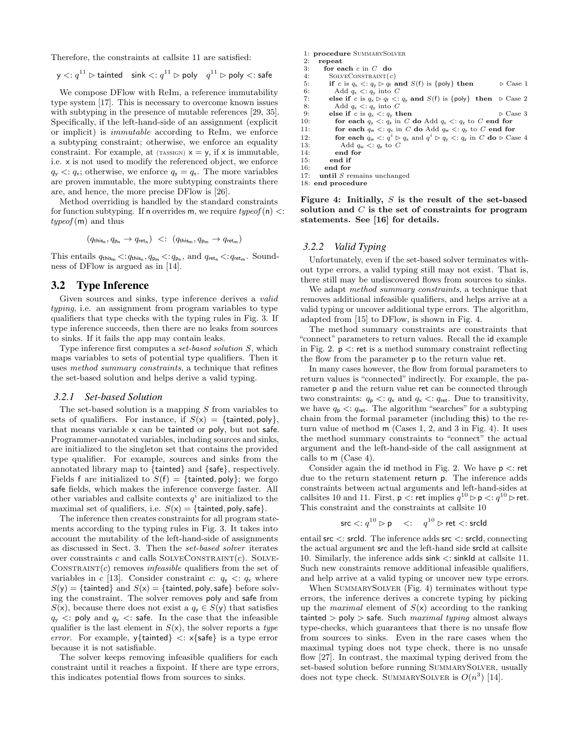Therefore, the constraints at callsite 11 are satisfied:

$$
y \leq: q^{11} \rhd
$$
 tainted  $\sin k \leq: q^{11} \rhd$  poly  $q^{11} \rhd$  poly  $\leq: \text{safe}$ 

We compose DFlow with ReIm, a reference immutability type system [17]. This is necessary to overcome known issues with subtyping in the presence of mutable references [29, 35]. Specifically, if the left-hand-side of an assignment (explicit or implicit) is *immutable* according to ReIm, we enforce a subtyping constraint; otherwise, we enforce an equality constraint. For example, at  $(\text{mass}) \times y = y$ , if  $\times$  is immutable, i.e. x is not used to modify the referenced object, we enforce  $q_{y} \leq q_{x}$ ; otherwise, we enforce  $q_{y} = q_{x}$ . The more variables are proven immutable, the more subtyping constraints there are, and hence, the more precise DFlow is [26].

Method overriding is handled by the standard constraints for function subtyping. If n overrides m, we require *typeof* (n) *<*: *typeof* (m) and thus

$$
(q_{\text{this}_n}, q_{p_n} \to q_{\text{ret}_n}) \ \ <: \ \ (q_{\text{this}_m}, q_{p_m} \to q_{\text{ret}_m})
$$

This entails  $q_{\text{this}_{\text{m}}} < q_{\text{this}_{\text{n}}}, q_{\text{p}_{\text{m}}} < q_{\text{p}_{\text{n}}}, \text{ and } q_{\text{ret}_{\text{n}}} < q_{\text{ret}_{\text{m}}}.$  Soundness of DFlow is argued as in [14].

## 3.2 Type Inference

Given sources and sinks, type inference derives a *valid typing*, i.e. an assignment from program variables to type qualifiers that type checks with the typing rules in Fig. 3. If type inference succeeds, then there are no leaks from sources to sinks. If it fails the app may contain leaks.

Type inference first computes a *set-based solution S*, which maps variables to sets of potential type qualifiers. Then it uses *method summary constraints*, a technique that refines the set-based solution and helps derive a valid typing.

#### *3.2.1 Set-based Solution*

The set-based solution is a mapping *S* from variables to sets of qualifiers. For instance, if  $S(x) = \{\text{tainted}, \text{poly}\}\,$ that means variable x can be tainted or poly, but not safe. Programmer-annotated variables, including sources and sinks, are initialized to the singleton set that contains the provided type qualifier. For example, sources and sinks from the annotated library map to *{*tainted*}* and *{*safe*}*, respectively. Fields f are initialized to  $S(f) = \{\text{tainted}, \text{poly}\}\;$ ; we forgo safe fields, which makes the inference converge faster. All other variables and callsite contexts  $q^i$  are initialized to the maximal set of qualifiers, i.e.  $S(x) = \{\text{tainted}, \text{poly}, \text{safe}\}.$ 

The inference then creates constraints for all program statements according to the typing rules in Fig. 3. It takes into account the mutability of the left-hand-side of assignments as discussed in Sect. 3. Then the *set-based solver* iterates over constraints  $c$  and calls  $\text{SOLVECONSTRAINT}(c)$ . SOLVE-CONSTRAINT $(c)$  removes *infeasible* qualifiers from the set of variables in *c* [13]. Consider constraint *c*:  $q_y \leq q_x$  where  $S(y) = \{$ tainted $}$  and  $S(x) = \{$ tainted, poly, safe $}$  before solving the constraint. The solver removes poly and safe from  $S(x)$ , because there does not exist a  $q_y \in S(y)$  that satisfies  $q_y$  < poly and  $q_y$  < safe. In the case that the infeasible qualifier is the last element in *S*(x), the solver reports a *type error*. For example, y*{*tainted*} <*: x*{*safe*}* is a type error because it is not satisfiable.

The solver keeps removing infeasible qualifiers for each constraint until it reaches a fixpoint. If there are type errors, this indicates potential flows from sources to sinks.

1: procedure SUMMARYSOLVER

```
2: repeat<br>3: for ex
           \overrightarrow{3} for each c in C do
```

```
4: SolveConstraint(c)
```
- 5: if *c* is  $q_x \leq q_y \geq q_f$  and  $S(f)$  is {poly} then  $\geq \text{Case 1}$ <br>6: Add  $q_x \leq q_y$  into *C*
- 6: Add  $q_x \leq: q_y$  into *C*<br>7: **else if** *c* is  $q_x \geq q_f \leq:$ 7: else if *c* is  $q_x \rhd q_f \rhd q_y$  and  $S(f)$  is {poly} then  $\rhd$  Case 2<br>8: Add  $q_y \rhd q_y$  into *C* 8: Add  $q_x < q_y$  into *C*<br>9: **else if** *c* is  $a_x < a_x$  **tl**
- 
- 9: else if *c* is  $q_x < q_y$  then  $\triangleright$  Case 3<br>10: **for each**  $q_y < q_y$  in *C* **do** Add  $q_y < q_z$  to *C* end for
- 10: **for each**  $q_y \leq q_z$  in *C* do Add  $q_x \leq q_z$  to *C* end for 11: **for each**  $q_w \leq q_x$  in *C* do Add  $q_w \leq q_y$  to *C* end for
- 12: **for each**  $q_w <: q^i \triangleright q_x$  and  $q^i \triangleright q_y <: q_z$  in *C* do  $\triangleright$  Case 4 13: Add  $q_w <: q_z$  to *C* 13: Add  $q_w < q_z$  to *C*<br>14: **end for**
- end for
- 15: end if<br>16: end for
- 16: end for<br>17: until  $S$  re
- until *S* remains unchanged
- 18: end procedure

Figure 4: Initially, *S* is the result of the set-based solution and *C* is the set of constraints for program statements. See [16] for details.

#### *3.2.2 Valid Typing*

Unfortunately, even if the set-based solver terminates without type errors, a valid typing still may not exist. That is, there still may be undiscovered flows from sources to sinks.

We adapt *method summary constraints*, a technique that removes additional infeasible qualifiers, and helps arrive at a valid typing or uncover additional type errors. The algorithm, adapted from [15] to DFlow, is shown in Fig. 4.

The method summary constraints are constraints that "connect" parameters to return values. Recall the id example in Fig. 2. p *<*: ret is a method summary constraint reflecting the flow from the parameter p to the return value ret.

In many cases however, the flow from formal parameters to return values is "connected" indirectly. For example, the parameter p and the return value ret can be connected through two constraints:  $q_p \lt: q_x$  and  $q_x \lt: q_{\text{ret}}$ . Due to transitivity, we have  $q_p \lt: q_{\text{ret}}$ . The algorithm "searches" for a subtyping chain from the formal parameter (including this) to the return value of method m (Cases 1, 2, and 3 in Fig. 4). It uses the method summary constraints to "connect" the actual argument and the left-hand-side of the call assignment at calls to m (Case 4).

Consider again the id method in Fig. 2. We have p *<*: ret due to the return statement return p. The inference adds constraints between actual arguments and left-hand-sides at callsites 10 and 11. First,  $p \lt: r$ et implies  $q^{10} \rhd p \lt: q^{10} \rhd$  ret. This constraint and the constraints at callsite 10

$$
\mathsf{src} <: q^{10} \triangleright \mathsf{p} \quad \mathopen{<:} \quad q^{10} \triangleright \mathsf{ret} \mathopen{<:} \mathsf{srcld}
$$

entail src *<*: srcId. The inference adds src *<*: srcId, connecting the actual argument src and the left-hand side srcId at callsite 10. Similarly, the inference adds sink *<*: sinkId at callsite 11. Such new constraints remove additional infeasible qualifiers, and help arrive at a valid typing or uncover new type errors.

When SUMMARYSOLVER (Fig. 4) terminates without type errors, the inference derives a concrete typing by picking up the *maximal* element of *S*(x) according to the ranking tainted *>* poly *>* safe. Such *maximal typing* almost always type-checks, which guarantees that there is no unsafe flow from sources to sinks. Even in the rare cases when the maximal typing does not type check, there is no unsafe flow [27]. In contrast, the maximal typing derived from the set-based solution before running SUMMARYSOLVER, usually does not type check. SUMMARYSOLVER is  $O(n^3)$  [14].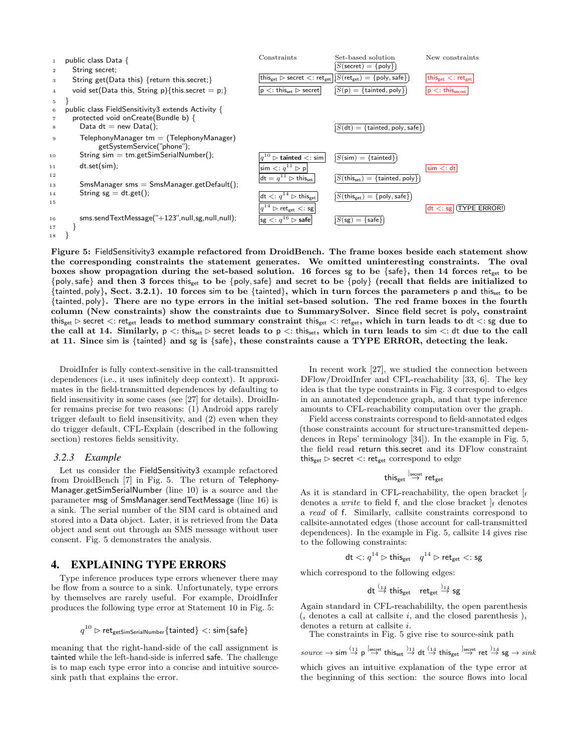

Figure 5: FieldSensitivity3 example refactored from DroidBench. The frame boxes beside each statement show the corresponding constraints the statement generates. We omitted uninteresting constraints. The oval boxes show propagation during the set-based solution. 16 forces sg to be  $\{safe\}$ , then 14 forces ret<sub>get</sub> to be *{*poly*,*safe*}* and then 3 forces thisget to be *{*poly*,*safe*}* and secret to be *{*poly*}* (recall that fields are initialized to *{*tainted*,* poly*}*, Sect. 3.2.1). 10 forces sim to be *{*tainted*}*, which in turn forces the parameters p and thisset to be *{*tainted*,* poly*}*. There are no type errors in the initial set-based solution. The red frame boxes in the fourth column (New constraints) show the constraints due to SummarySolver. Since field secret is poly, constraint thisget ⇤ secret *<*: retget leads to method summary constraint thisget *<*: retget, which in turn leads to dt *<*: sg due to the call at 14. Similarly,  $p \lt$ : thisset  $\triangleright$  secret leads to  $p \lt$ : thisset, which in turn leads to sim  $\lt$ : dt due to the call at 11. Since sim is *{*tainted*}* and sg is *{*safe*}*, these constraints cause a TYPE ERROR, detecting the leak.

DroidInfer is fully context-sensitive in the call-transmitted dependences (i.e., it uses infinitely deep context). It approximates in the field-transmitted dependences by defaulting to field insensitivity in some cases (see [27] for details). DroidInfer remains precise for two reasons: (1) Android apps rarely trigger default to field insensitivity, and (2) even when they do trigger default, CFL-Explain (described in the following section) restores fields sensitivity.

#### *3.2.3 Example*

Let us consider the FieldSensitivity3 example refactored from DroidBench [7] in Fig. 5. The return of Telephony-Manager.getSimSerialNumber (line 10) is a source and the parameter msg of SmsManager.sendTextMessage (line 16) is a sink. The serial number of the SIM card is obtained and stored into a Data object. Later, it is retrieved from the Data object and sent out through an SMS message without user consent. Fig. 5 demonstrates the analysis.

## 4. EXPLAINING TYPE ERRORS

Type inference produces type errors whenever there may be flow from a source to a sink. Unfortunately, type errors by themselves are rarely useful. For example, DroidInfer produces the following type error at Statement 10 in Fig. 5:

$$
q^{10}\rhd \mathsf{ret}_\mathsf{getSimSerialNumber}\{\mathsf{tainted}\} <: \mathsf{sim}\{\mathsf{safe}\}
$$

meaning that the right-hand-side of the call assignment is tainted while the left-hand-side is inferred safe. The challenge is to map each type error into a concise and intuitive sourcesink path that explains the error.

In recent work [27], we studied the connection between DFlow/DroidInfer and CFL-reachability [33, 6]. The key idea is that the type constraints in Fig. 3 correspond to edges in an annotated dependence graph, and that type inference amounts to CFL-reachability computation over the graph.

Field access constraints correspond to field-annotated edges (those constraints account for structure-transmitted dependences in Reps' terminology [34]). In the example in Fig. 5, the field read return this.secret and its DFlow constraint this<sub>get</sub>  $\triangleright$  secret  $\lt$ : ret<sub>get</sub> correspond to edge

$$
\text{this}_{\text{get}} \overset{\text{Jsecret}}{\rightarrow} \text{ret}_{\text{get}}
$$

As it is standard in CFL-reachability, the open bracket [<sup>f</sup> denotes a *write* to field f, and the close bracket  $\vert_{f}$  denotes a *read* of f. Similarly, callsite constraints correspond to callsite-annotated edges (those account for call-transmitted dependences). In the example in Fig. 5, callsite 14 gives rise to the following constraints:

$$
\mathsf{dt} <: q^{14} \rhd \mathsf{this}_{\mathsf{get}} \quad q^{14} \rhd \mathsf{ret}_{\mathsf{get}} <: \mathsf{sg}
$$

which correspond to the following edges:

$$
\mathsf{dt} \stackrel{(14}{\rightarrow} \mathsf{this}_{\mathsf{get}} \mathsf{ret}_{\mathsf{get}} \stackrel{)}{\rightarrow} \mathsf{sg}
$$

Again standard in CFL-reachabililty, the open parenthesis  $(i$  denotes a call at callsite  $i$ , and the closed parenthesis  $)i$  denotes a return at callsite  $i$ .

The constraints in Fig. 5 give rise to source-sink path

$$
source \rightarrow \text{sim} \overset{(11)}{\rightarrow} \text{p} \overset{\text{Isecret}}{\rightarrow} \text{this}_{\text{set}} \overset{)}{\rightarrow} \text{dt} \overset{(14)}{\rightarrow} \text{this}_{\text{get}} \overset{\text{Isecret}}{\rightarrow} \text{ret} \overset{)}{\rightarrow} \text{sg} \rightarrow sink
$$

which gives an intuitive explanation of the type error at the beginning of this section: the source flows into local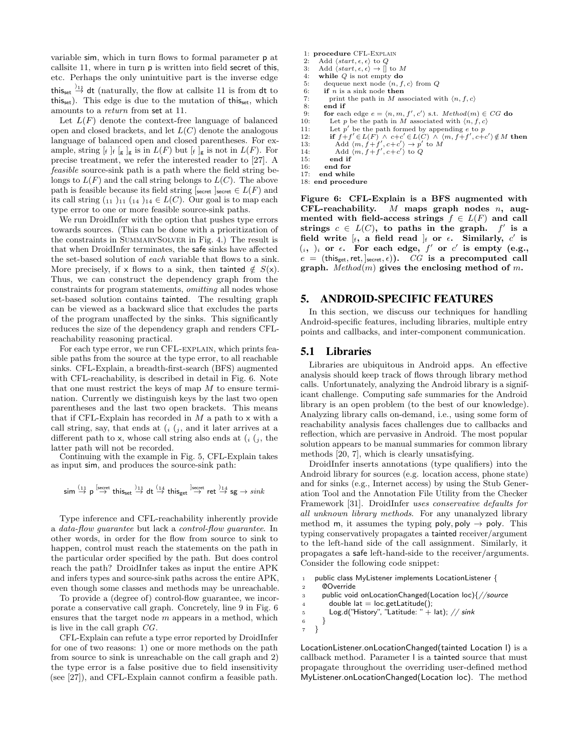variable sim, which in turn flows to formal parameter p at callsite 11, where in turn p is written into field secret of this, etc. Perhaps the only unintuitive part is the inverse edge this<sub>set</sub>  $\frac{1}{2}$  dt (naturally, the flow at callsite 11 is from dt to this<sub>set</sub>). This edge is due to the mutation of this<sub>set</sub>, which amounts to a *return* from set at 11.

Let  $L(F)$  denote the context-free language of balanced open and closed brackets, and let *L*(*C*) denote the analogous language of balanced open and closed parentheses. For example, string  $\lbrack f \rbrack_f \rbrack_g$  is in  $L(F)$  but  $\lbrack f \rbrack_g$  is not in  $L(F)$ . For precise treatment, we refer the interested reader to [27]. A *feasible* source-sink path is a path where the field string belongs to  $L(F)$  and the call string belongs to  $L(C)$ . The above path is feasible because its field string  $s_{\text{secret}} \in L(F)$  and its call string  $\binom{11}{11}$   $\binom{14}{14}$   $\in L(C)$ . Our goal is to map each type error to one or more feasible source-sink paths.

We run DroidInfer with the option that pushes type errors towards sources. (This can be done with a prioritization of the constraints in SummarySolver in Fig. 4.) The result is that when DroidInfer terminates, the safe sinks have affected the set-based solution of *each* variable that flows to a sink. More precisely, if x flows to a sink, then tainted  $\notin S(x)$ . Thus, we can construct the dependency graph from the constraints for program statements, *omitting* all nodes whose set-based solution contains tainted. The resulting graph can be viewed as a backward slice that excludes the parts of the program unaffected by the sinks. This significantly reduces the size of the dependency graph and renders CFLreachability reasoning practical.

For each type error, we run CFL-explain, which prints feasible paths from the source at the type error, to all reachable sinks. CFL-Explain, a breadth-first-search (BFS) augmented with CFL-reachability, is described in detail in Fig. 6. Note that one must restrict the keys of map *M* to ensure termination. Currently we distinguish keys by the last two open parentheses and the last two open brackets. This means that if CFL-Explain has recorded in *M* a path to x with a call string, say, that ends at  $(i, j)$ , and it later arrives at a different path to x, whose call string also ends at  $(i, j)$ , the latter path will not be recorded.

Continuing with the example in Fig. 5, CFL-Explain takes as input sim, and produces the source-sink path:

$$
\mathsf{sim} \overset{(11)}{\rightarrow} \mathsf{p} \overset{\mathsf{[secret}}{\rightarrow} \mathsf{this}_{\mathsf{set}} \overset{)_{11}}{\rightarrow} \mathsf{dt} \overset{(14)}{\rightarrow} \mathsf{this}_{\mathsf{get}} \overset{\mathsf{]}\mathsf{secret}}{\rightarrow} \mathsf{ret} \overset{)_{14}}{\rightarrow} \mathsf{sg} \rightarrow sink
$$

Type inference and CFL-reachability inherently provide a *data-flow guarantee* but lack a *control-flow guarantee*. In other words, in order for the flow from source to sink to happen, control must reach the statements on the path in the particular order specified by the path. But does control reach the path? DroidInfer takes as input the entire APK and infers types and source-sink paths across the entire APK, even though some classes and methods may be unreachable.

To provide a (degree of) control-flow guarantee, we incorporate a conservative call graph. Concretely, line 9 in Fig. 6 ensures that the target node *m* appears in a method, which is live in the call graph *CG*.

CFL-Explain can refute a type error reported by DroidInfer for one of two reasons: 1) one or more methods on the path from source to sink is unreachable on the call graph and 2) the type error is a false positive due to field insensitivity (see [27]), and CFL-Explain cannot confirm a feasible path.

- 1: procedure CFL-Explain
- 2: Add  $\langle start, \epsilon, \epsilon \rangle$  to *Q*<br>3: Add  $\langle start, \epsilon, \epsilon \rangle \rightarrow []$  to *M*
- 4: while *Q* is not empty do
- 
- 5: dequeue next node  $\langle n, f, c \rangle$  from *Q*<br>6: **if** *n* is a sink node then
- 6: **if** *n* is a sink node then<br>7: print the path in *M* as 7: print the path in *M* associated with  $\langle n, f, c \rangle$ <br>8: **end if** 
	- end if
- 9: **for** each edge  $e = \langle n, m, f', c' \rangle$  s.t. *Method* $(m) \in CG$  do
- 10: Let *p* be the path in *M* associated with  $\langle n, f, c \rangle$ <br>11: Let *n'* be the path formed by appending *e* to *n* 
	- Let  $p'$  be the path formed by appending  $e$  to  $p$
- 12: **if**  $f+f' \in L(F) \land c+c' \in L(C) \land \langle m, f+f', c+c' \rangle \notin M$  then<br>
13: Add  $\langle m, f+f', c+c' \rangle \rightarrow p'$  to M<br>
14: Add  $\langle m, f+f', c+c' \rangle$  to Q
- 
- 15: end if
- 16: end for
- 17: end while
- 18: end procedure

Figure 6: CFL-Explain is a BFS augmented with CFL-reachability. *M* maps graph nodes *n*, augmented with field-access strings  $f \in L(F)$  and call strings  $c \in L(C)$ , to paths in the graph.  $f'$  is a field write  $\begin{bmatrix} f, & a \end{bmatrix}$  field read  $\begin{bmatrix} f \end{bmatrix}$  or  $\epsilon$ . Similarly,  $c'$  is  $(i, )_i$  or  $\epsilon$ . For each edge,  $f'$  or  $c'$  is empty (e.g.,  $e = (this_{get}, ret, ]_{secret}, \epsilon)$ ). *CG* is a precomputed call graph. *Method*(*m*) gives the enclosing method of *m*.

## 5. ANDROID-SPECIFIC FEATURES

In this section, we discuss our techniques for handling Android-specific features, including libraries, multiple entry points and callbacks, and inter-component communication.

### 5.1 Libraries

Libraries are ubiquitous in Android apps. An effective analysis should keep track of flows through library method calls. Unfortunately, analyzing the Android library is a significant challenge. Computing safe summaries for the Android library is an open problem (to the best of our knowledge). Analyzing library calls on-demand, i.e., using some form of reachability analysis faces challenges due to callbacks and reflection, which are pervasive in Android. The most popular solution appears to be manual summaries for common library methods [20, 7], which is clearly unsatisfying.

DroidInfer inserts annotations (type qualifiers) into the Android library for sources (e.g. location access, phone state) and for sinks (e.g., Internet access) by using the Stub Generation Tool and the Annotation File Utility from the Checker Framework [31]. DroidInfer *uses conservative defaults for all unknown library methods*. For any unanalyzed library method m, it assumes the typing poly, poly  $\rightarrow$  poly. This typing conservatively propagates a tainted receiver/argument to the left-hand side of the call assignment. Similarly, it propagates a safe left-hand-side to the receiver/arguments. Consider the following code snippet:

```
1 public class MyListener implements LocationListener {
     2 @Override
3 public void onLocationChanged(Location loc){//source
       double lat = loc.getLatitude();
5 Log.d("History", "Latitude: " + lat); // sink
6 }
7 }
```
LocationListener.onLocationChanged(tainted Location l) is a callback method. Parameter l is a tainted source that must propagate throughout the overriding user-defined method MyListener.onLocationChanged(Location loc). The method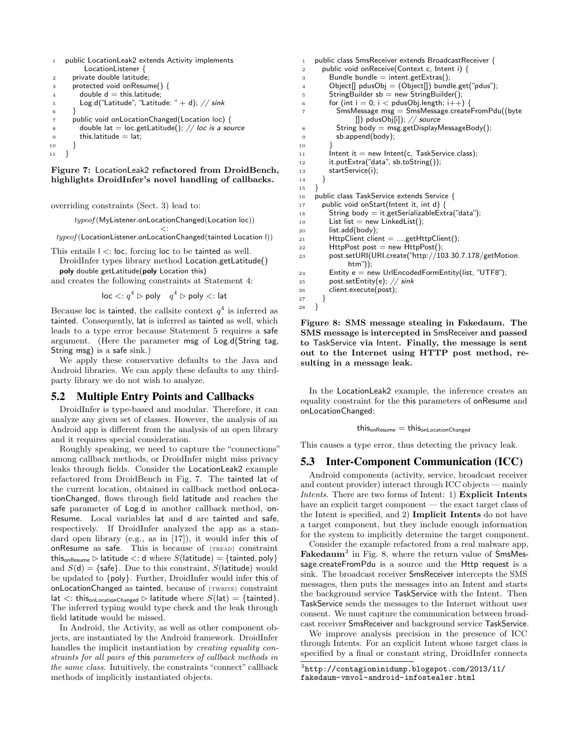```
1 public LocationLeak2 extends Activity implements
         LocationListener {
2 private double latitude;
3 protected void onResume() {
        double d = this.latitude;
5 Log.d("Latitude", "Latitude: " + d); // sink
6 }
7 public void onLocationChanged(Location loc) {
        8 double lat = loc.getLatitude(); // loc is a source
9 this.latitude = lat;
10 }
11 }
```
#### Figure 7: LocationLeak2 refactored from DroidBench, highlights DroidInfer's novel handling of callbacks.

overriding constraints (Sect. 3) lead to:

*typeof* (MyListener*.*onLocationChanged(Location loc))

*<*: *typeof* (LocationListener*.*onLocationChanged(tainted Location l))

This entails l *<*: loc, forcing loc to be tainted as well.

DroidInfer types library method Location.getLatitude() poly double getLatitude(poly Location this)

and creates the following constraints at Statement 4:

 $\log$  *<*:  $q^4$   $\triangleright$  poly  $q^4$   $\triangleright$  poly *<*: lat

Because loc is tainted, the callsite context  $q<sup>4</sup>$  is inferred as tainted. Consequently, lat is inferred as tainted as well, which leads to a type error because Statement 5 requires a safe argument. (Here the parameter msg of Log.d(String tag, String msg) is a safe sink.)

We apply these conservative defaults to the Java and Android libraries. We can apply these defaults to any thirdparty library we do not wish to analyze.

## 5.2 Multiple Entry Points and Callbacks

DroidInfer is type-based and modular. Therefore, it can analyze any given set of classes. However, the analysis of an Android app is different from the analysis of an open library and it requires special consideration.

Roughly speaking, we need to capture the "connections" among callback methods, or DroidInfer might miss privacy leaks through fields. Consider the LocationLeak2 example refactored from DroidBench in Fig. 7. The tainted lat of the current location, obtained in callback method onLocationChanged, flows through field latitude and reaches the safe parameter of Log.d in another callback method, on-Resume. Local variables lat and d are tainted and safe, respectively. If DroidInfer analyzed the app as a standard open library (e.g., as in [17]), it would infer this of onResume as safe. This is because of (TREAD) constraint this<sub>onResume</sub>  $\triangleright$  latitude  $\lt$ : d where  $S$ (latitude) = {tainted, poly} and  $S(d) = \{ \text{safe} \}$ . Due to this constraint,  $S(\text{latitude})$  would be updated to *{*poly*}*. Further, DroidInfer would infer this of onLocationChanged as tainted, because of (TWRITE) constraint  $\text{lat} <: \text{this}$ <sub>onLocationChanged</sub>  $\triangleright$  latitude where  $S(\text{lat}) = \{\text{tainted}\}.$ The inferred typing would type check and the leak through field latitude would be missed.

In Android, the Activity, as well as other component objects, are instantiated by the Android framework. DroidInfer handles the implicit instantiation by *creating equality constraints for all pairs of* this *parameters of callback methods in the same class*. Intuitively, the constraints "connect" callback methods of implicitly instantiated objects.

```
1 public class SmsReceiver extends BroadcastReceiver {
2 public void onReceive(Context c, Intent i) {
         Bundle bundle = intent.getExtras();
4 Object[] pdusObj = (Object[]) bundle.get("pdus");
5 StringBuilder sb = new StringBuilder();
6 for (int i = 0; i < pdusObj.length; i++) {7 SmsMessage msg = SmsMessage.create
           SmsMessage msg = SmsMessage.createFromPdu((byte
                 []) pdusObj[i]); // source
 8 String body = msg.getDisplayMessageBody();
 9 sb.append(body);
\begin{array}{c} 10 \\ 11 \end{array}\label{eq:inter} Intent it = new Intent(c, TaskService.class);
12 it.putExtra("data", sb.toString());
13 startService(i);
\begin{matrix} 14 & 7 \\ 15 & 7 \end{matrix}\left\{\n \begin{array}{c}\n 15 \\
 16\n \end{array}\n \right\}16 public class TaskService extends Service {
17 public void onStart(Intent it, int d) {
         String body = it.getSerializableExtra("data");
19 List list = new LinkedList();
20 list.add(body);
21 HttpClient client = ....getHttpClient();
22 HttpPost post = new HttpPost();
23 post.setURI(URI.create("http://103.30.7.178/getMotion.
               htm"));
_{24} Entity e = new UrlEncodedFormEntity(list, "UTF8");
25 post.setEntity(e); // sink
26 client.execute(post);
27 }
28 }
```
Figure 8: SMS message stealing in Fakedaum. The SMS message is intercepted in SmsReceiver and passed to TaskService via Intent. Finally, the message is sent out to the Internet using HTTP post method, resulting in a message leak.

In the LocationLeak2 example, the inference creates an equality constraint for the this parameters of onResume and onLocationChanged:

 $this_{\text{onResume}} = this_{\text{onLocationChanged}}$ 

This causes a type error, thus detecting the privacy leak.

## 5.3 Inter-Component Communication (ICC)

Android components (activity, service, broadcast receiver and content provider) interact through ICC objects — mainly *Intents*. There are two forms of Intent: 1) Explicit Intents have an explicit target component — the exact target class of the Intent is specified, and 2) Implicit Intents do not have a target component, but they include enough information for the system to implicitly determine the target component.

Consider the example refactored from a real malware app, Fakedaum<sup>3</sup> in Fig. 8, where the return value of SmsMessage.createFromPdu is a source and the Http request is a sink. The broadcast receiver SmsReceiver intercepts the SMS messages, then puts the messages into an Intent and starts the background service TaskService with the Intent. Then TaskService sends the messages to the Internet without user consent. We must capture the communication between broadcast receiver SmsReceiver and background service TaskService.

We improve analysis precision in the presence of ICC through Intents. For an explicit Intent whose target class is specified by a final or constant string, DroidInfer connects

<sup>3</sup>http://contagiominidump.blogspot.com/2013/11/ fakedaum-vmvol-android-infostealer.html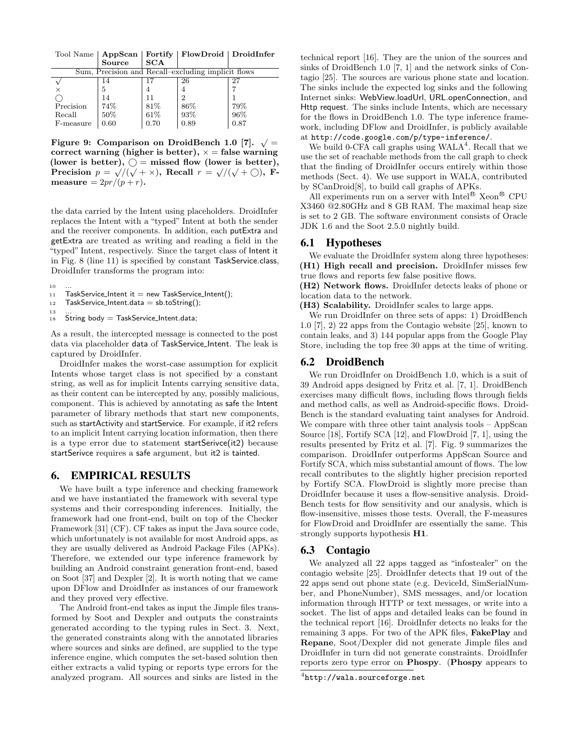Tool Name | AppScan | Fortify | FlowDroid | DroidInfer Source

| Sum, Precision and Recall–excluding implicit flows |      |      |      |  |
|----------------------------------------------------|------|------|------|--|
|                                                    |      | 26   |      |  |
|                                                    |      |      |      |  |
|                                                    |      |      |      |  |
| 74%                                                | 81%  | 86%  | 79%  |  |
| 50%                                                | 61%  | 93%  | 96%  |  |
| 0.60                                               | 0.70 | 0.89 | 0.87 |  |
|                                                    |      |      |      |  |

Figure 9: Comparison on DroidBench 1.0 [7].  $\sqrt{ }$  = correct warning (higher is better),  $x =$  false warning (lower is better),  $\bigcirc$  = missed flow (lower is better), Precision  $p = \sqrt{\sqrt{(\sqrt{+} \times)}}$ , Recall  $r = \sqrt{(\sqrt{+} \bigcirc)}$ , F $measure = 2pr/(p + r).$ 

the data carried by the Intent using placeholders. DroidInfer replaces the Intent with a "typed" Intent at both the sender and the receiver components. In addition, each putExtra and getExtra are treated as writing and reading a field in the "typed" Intent, respectively. Since the target class of Intent it in Fig. 8 (line 11) is specified by constant TaskService.class, DroidInfer transforms the program into:

- $10$
- $11$  TaskService\_Intent it = new TaskService\_Intent();
- $12$  TaskService\_Intent.data = sb.toString(); 13
- $18$  String body = TaskService\_Intent.data;

As a result, the intercepted message is connected to the post data via placeholder data of TaskService Intent. The leak is captured by DroidInfer.

DroidInfer makes the worst-case assumption for explicit Intents whose target class is not specified by a constant string, as well as for implicit Intents carrying sensitive data, as their content can be intercepted by any, possibly malicious, component. This is achieved by annotating as safe the Intent parameter of library methods that start new components, such as startActivity and startService. For example, if it2 refers to an implicit Intent carrying location information, then there is a type error due to statement startSerivce(it2) because startSerivce requires a safe argument, but it2 is tainted.

## 6. EMPIRICAL RESULTS

We have built a type inference and checking framework and we have instantiated the framework with several type systems and their corresponding inferences. Initially, the framework had one front-end, built on top of the Checker Framework [31] (CF). CF takes as input the Java source code, which unfortunately is not available for most Android apps, as they are usually delivered as Android Package Files (APKs). Therefore, we extended our type inference framework by building an Android constraint generation front-end, based on Soot [37] and Dexpler [2]. It is worth noting that we came upon DFlow and DroidInfer as instances of our framework and they proved very effective.

The Android front-end takes as input the Jimple files transformed by Soot and Dexpler and outputs the constraints generated according to the typing rules in Sect. 3. Next, the generated constraints along with the annotated libraries where sources and sinks are defined, are supplied to the type inference engine, which computes the set-based solution then either extracts a valid typing or reports type errors for the analyzed program. All sources and sinks are listed in the

technical report [16]. They are the union of the sources and sinks of DroidBench 1.0 [7, 1] and the network sinks of Contagio [25]. The sources are various phone state and location. The sinks include the expected log sinks and the following Internet sinks: WebView.loadUrl, URL.openConnection, and Http request. The sinks include Intents, which are necessary for the flows in DroidBench 1.0. The type inference framework, including DFlow and DroidInfer, is publicly available at http://code.google.com/p/type-inference/.

We build 0-CFA call graphs using  $WALA<sup>4</sup>$ . Recall that we use the set of reachable methods from the call graph to check that the finding of DroidInfer occurs entirely within those methods (Sect. 4). We use support in WALA, contributed by SCanDroid[8], to build call graphs of APKs.

All experiments run on a server with Intel<sup>®</sup> Xeon<sup>®</sup> CPU X3460 @2.80GHz and 8 GB RAM. The maximal heap size is set to 2 GB. The software environment consists of Oracle JDK 1.6 and the Soot 2.5.0 nightly build.

## 6.1 Hypotheses

We evaluate the DroidInfer system along three hypotheses: (H1) High recall and precision. DroidInfer misses few true flows and reports few false positive flows.

(H2) Network flows. DroidInfer detects leaks of phone or location data to the network.

(H3) Scalability. DroidInfer scales to large apps.

We run DroidInfer on three sets of apps: 1) DroidBench 1.0 [7], 2) 22 apps from the Contagio website [25], known to contain leaks, and 3) 144 popular apps from the Google Play Store, including the top free 30 apps at the time of writing.

## 6.2 DroidBench

We run DroidInfer on DroidBench 1.0, which is a suit of 39 Android apps designed by Fritz et al. [7, 1]. DroidBench exercises many difficult flows, including flows through fields and method calls, as well as Android-specific flows. Droid-Bench is the standard evaluating taint analyses for Android. We compare with three other taint analysis tools – AppScan Source [18], Fortify SCA [12], and FlowDroid [7, 1], using the results presented by Fritz et al. [7]. Fig. 9 summarizes the comparison. DroidInfer outperforms AppScan Source and Fortify SCA, which miss substantial amount of flows. The low recall contributes to the slightly higher precision reported by Fortify SCA. FlowDroid is slightly more precise than DroidInfer because it uses a flow-sensitive analysis. Droid-Bench tests for flow sensitivity and our analysis, which is flow-insensitive, misses those tests. Overall, the F-measures for FlowDroid and DroidInfer are essentially the same. This strongly supports hypothesis H1.

## 6.3 Contagio

We analyzed all 22 apps tagged as "infostealer" on the contagio website [25]. DroidInfer detects that 19 out of the 22 apps send out phone state (e.g. DeviceId, SimSerialNumber, and PhoneNumber), SMS messages, and/or location information through HTTP or text messages, or write into a socket. The list of apps and detailed leaks can be found in the technical report [16]. DroidInfer detects no leaks for the remaining 3 apps. For two of the APK files, FakePlay and Repane, Soot/Dexpler did not generate Jimple files and DroidInfer in turn did not generate constraints. DroidInfer reports zero type error on Phospy. (Phospy appears to

 $^{4}$ http://wala.sourceforge.net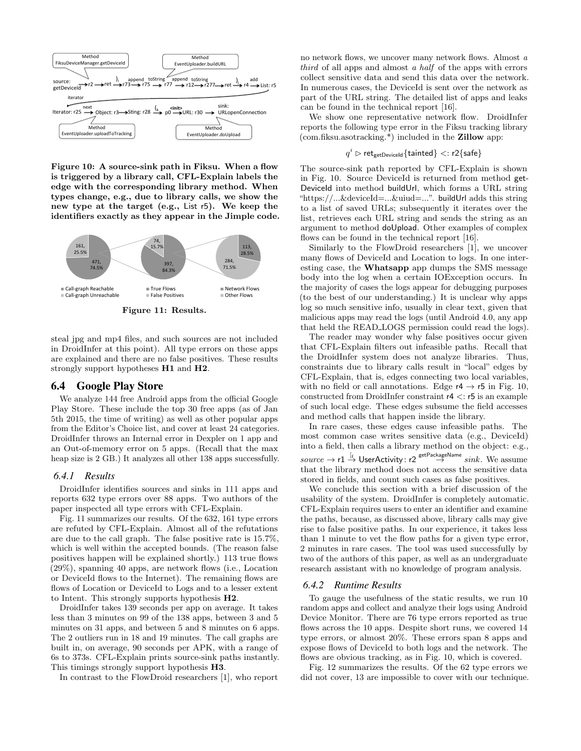

Figure 10: A source-sink path in Fiksu. When a flow is triggered by a library call, CFL-Explain labels the edge with the corresponding library method. When types change, e.g., due to library calls, we show the new type at the target (e.g., List r5). We keep the identifiers exactly as they appear in the Jimple code.



Figure 11: Results.

steal jpg and mp4 files, and such sources are not included in DroidInfer at this point). All type errors on these apps are explained and there are no false positives. These results strongly support hypotheses H1 and H2.

## 6.4 Google Play Store

We analyze 144 free Android apps from the official Google Play Store. These include the top 30 free apps (as of Jan 5th 2015, the time of writing) as well as other popular apps from the Editor's Choice list, and cover at least 24 categories. DroidInfer throws an Internal error in Dexpler on 1 app and an Out-of-memory error on 5 apps. (Recall that the max heap size is 2 GB.) It analyzes all other 138 apps successfully.

#### *6.4.1 Results*

DroidInfer identifies sources and sinks in 111 apps and reports 632 type errors over 88 apps. Two authors of the paper inspected all type errors with CFL-Explain.

Fig. 11 summarizes our results. Of the 632, 161 type errors are refuted by CFL-Explain. Almost all of the refutations are due to the call graph. The false positive rate is 15.7%, which is well within the accepted bounds. (The reason false positives happen will be explained shortly.) 113 true flows (29%), spanning 40 apps, are network flows (i.e., Location or DeviceId flows to the Internet). The remaining flows are flows of Location or DeviceId to Logs and to a lesser extent to Intent. This strongly supports hypothesis H2.

DroidInfer takes 139 seconds per app on average. It takes less than 3 minutes on 99 of the 138 apps, between 3 and 5 minutes on 31 apps, and between 5 and 8 minutes on 6 apps. The 2 outliers run in 18 and 19 minutes. The call graphs are built in, on average, 90 seconds per APK, with a range of 6s to 373s. CFL-Explain prints source-sink paths instantly. This timings strongly support hypothesis H3.

In contrast to the FlowDroid researchers [1], who report

no network flows, we uncover many network flows. Almost *a third* of all apps and almost *a half* of the apps with errors collect sensitive data and send this data over the network. In numerous cases, the DeviceId is sent over the network as part of the URL string. The detailed list of apps and leaks can be found in the technical report [16].

We show one representative network flow. DroidInfer reports the following type error in the Fiksu tracking library (com.fiksu.asotracking.\*) included in the Zillow app:

#### $q^i$   $\triangleright$  ret<sub>getDeviceId</sub> {tainted}  $\lt:$  r2{safe}

The source-sink path reported by CFL-Explain is shown in Fig. 10. Source DeviceId is returned from method get-DeviceId into method buildUrl, which forms a URL string "https://...&deviceId=...&uiud=...". buildUrl adds this string to a list of saved URLs; subsequently it iterates over the list, retrieves each URL string and sends the string as an argument to method doUpload. Other examples of complex flows can be found in the technical report [16].

Similarly to the FlowDroid researchers [1], we uncover many flows of DeviceId and Location to logs. In one interesting case, the Whatsapp app dumps the SMS message body into the log when a certain IOException occurs. In the majority of cases the logs appear for debugging purposes (to the best of our understanding.) It is unclear why apps log so much sensitive info, usually in clear text, given that malicious apps may read the logs (until Android 4.0, any app that held the READ LOGS permission could read the logs).

The reader may wonder why false positives occur given that CFL-Explain filters out infeasible paths. Recall that the DroidInfer system does not analyze libraries. Thus, constraints due to library calls result in "local" edges by CFL-Explain, that is, edges connecting two local variables, with no field or call annotations. Edge  $r4 \rightarrow r5$  in Fig. 10, constructed from DroidInfer constraint r4 *<*: r5 is an example of such local edge. These edges subsume the field accesses and method calls that happen inside the library.

In rare cases, these edges cause infeasible paths. The most common case writes sensitive data (e.g., DeviceId) into a field, then calls a library method on the object: e.g.,  $source \rightarrow r1 \stackrel{[f]}{\rightarrow} UserActivity: r2 \stackrel{getPackname}{\rightarrow} sink. We assume$ that the library method does not access the sensitive data stored in fields, and count such cases as false positives.

We conclude this section with a brief discussion of the usability of the system. DroidInfer is completely automatic. CFL-Explain requires users to enter an identifier and examine the paths, because, as discussed above, library calls may give rise to false positive paths. In our experience, it takes less than 1 minute to vet the flow paths for a given type error, 2 minutes in rare cases. The tool was used successfully by two of the authors of this paper, as well as an undergraduate research assistant with no knowledge of program analysis.

#### *6.4.2 Runtime Results*

To gauge the usefulness of the static results, we run 10 random apps and collect and analyze their logs using Android Device Monitor. There are 76 type errors reported as true flows across the 10 apps. Despite short runs, we covered 14 type errors, or almost 20%. These errors span 8 apps and expose flows of DeviceId to both logs and the network. The flows are obvious tracking, as in Fig. 10, which is covered.

Fig. 12 summarizes the results. Of the 62 type errors we did not cover, 13 are impossible to cover with our technique.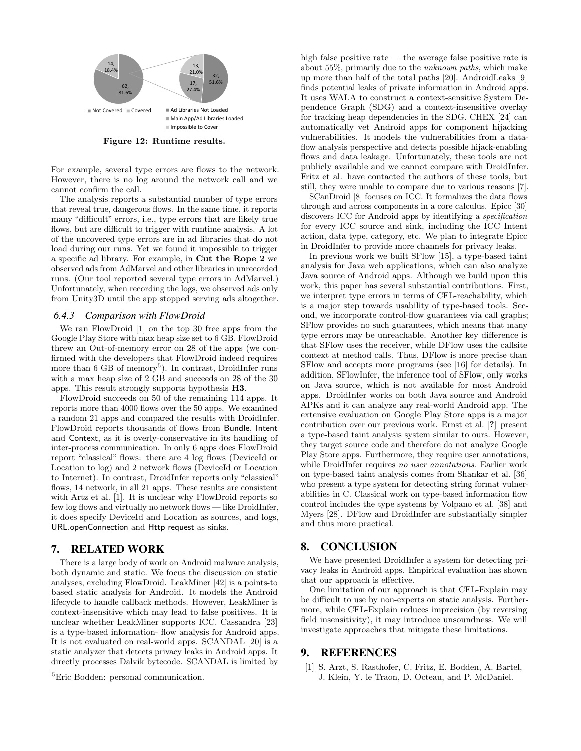

Figure 12: Runtime results.

For example, several type errors are flows to the network. However, there is no log around the network call and we cannot confirm the call.

The analysis reports a substantial number of type errors that reveal true, dangerous flows. In the same time, it reports many "difficult" errors, i.e., type errors that are likely true flows, but are difficult to trigger with runtime analysis. A lot of the uncovered type errors are in ad libraries that do not load during our runs. Yet we found it impossible to trigger a specific ad library. For example, in Cut the Rope 2 we observed ads from AdMarvel and other libraries in unrecorded runs. (Our tool reported several type errors in AdMarvel.) Unfortunately, when recording the logs, we observed ads only from Unity3D until the app stopped serving ads altogether.

#### *6.4.3 Comparison with FlowDroid*

We ran FlowDroid [1] on the top 30 free apps from the Google Play Store with max heap size set to 6 GB. FlowDroid threw an Out-of-memory error on 28 of the apps (we confirmed with the developers that FlowDroid indeed requires more than 6 GB of memory<sup>5</sup>). In contrast, DroidInfer runs with a max heap size of 2 GB and succeeds on 28 of the 30 apps. This result strongly supports hypothesis H3.

FlowDroid succeeds on 50 of the remaining 114 apps. It reports more than 4000 flows over the 50 apps. We examined a random 21 apps and compared the results with DroidInfer. FlowDroid reports thousands of flows from Bundle, Intent and Context, as it is overly-conservative in its handling of inter-process communication. In only 6 apps does FlowDroid report "classical" flows: there are 4 log flows (DeviceId or Location to log) and 2 network flows (DeviceId or Location to Internet). In contrast, DroidInfer reports only "classical" flows, 14 network, in all 21 apps. These results are consistent with Artz et al. [1]. It is unclear why FlowDroid reports so few log flows and virtually no network flows — like DroidInfer, it does specify DeviceId and Location as sources, and logs, URL.openConnection and Http request as sinks.

# 7. RELATED WORK

There is a large body of work on Android malware analysis, both dynamic and static. We focus the discussion on static analyses, excluding FlowDroid. LeakMiner [42] is a points-to based static analysis for Android. It models the Android lifecycle to handle callback methods. However, LeakMiner is context-insensitive which may lead to false positives. It is unclear whether LeakMiner supports ICC. Cassandra [23] is a type-based information- flow analysis for Android apps. It is not evaluated on real-world apps. SCANDAL [20] is a static analyzer that detects privacy leaks in Android apps. It directly processes Dalvik bytecode. SCANDAL is limited by

high false positive rate — the average false positive rate is about 55%, primarily due to the *unknown paths*, which make up more than half of the total paths [20]. AndroidLeaks [9] finds potential leaks of private information in Android apps. It uses WALA to construct a context-sensitive System Dependence Graph (SDG) and a context-insensitive overlay for tracking heap dependencies in the SDG. CHEX [24] can automatically vet Android apps for component hijacking vulnerabilities. It models the vulnerabilities from a dataflow analysis perspective and detects possible hijack-enabling flows and data leakage. Unfortunately, these tools are not publicly available and we cannot compare with DroidInfer. Fritz et al. have contacted the authors of these tools, but still, they were unable to compare due to various reasons [7].

SCanDroid [8] focuses on ICC. It formalizes the data flows through and across components in a core calculus. Epicc [30] discovers ICC for Android apps by identifying a *specification* for every ICC source and sink, including the ICC Intent action, data type, category, etc. We plan to integrate Epicc in DroidInfer to provide more channels for privacy leaks.

In previous work we built SFlow [15], a type-based taint analysis for Java web applications, which can also analyze Java source of Android apps. Although we build upon this work, this paper has several substantial contributions. First, we interpret type errors in terms of CFL-reachability, which is a major step towards usability of type-based tools. Second, we incorporate control-flow guarantees via call graphs; SFlow provides no such guarantees, which means that many type errors may be unreachable. Another key difference is that SFlow uses the receiver, while DFlow uses the callsite context at method calls. Thus, DFlow is more precise than SFlow and accepts more programs (see [16] for details). In addition, SFlowInfer, the inference tool of SFlow, only works on Java source, which is not available for most Android apps. DroidInfer works on both Java source and Android APKs and it can analyze any real-world Android app. The extensive evaluation on Google Play Store apps is a major contribution over our previous work. Ernst et al. [?] present a type-based taint analysis system similar to ours. However, they target source code and therefore do not analyze Google Play Store apps. Furthermore, they require user annotations, while DroidInfer requires *no user annotations*. Earlier work on type-based taint analysis comes from Shankar et al. [36] who present a type system for detecting string format vulnerabilities in C. Classical work on type-based information flow control includes the type systems by Volpano et al. [38] and Myers [28]. DFlow and DroidInfer are substantially simpler and thus more practical.

# 8. CONCLUSION

We have presented DroidInfer a system for detecting privacy leaks in Android apps. Empirical evaluation has shown that our approach is effective.

One limitation of our approach is that CFL-Explain may be difficult to use by non-experts on static analysis. Furthermore, while CFL-Explain reduces imprecision (by reversing field insensitivity), it may introduce unsoundness. We will investigate approaches that mitigate these limitations.

### 9. REFERENCES

[1] S. Arzt, S. Rasthofer, C. Fritz, E. Bodden, A. Bartel, J. Klein, Y. le Traon, D. Octeau, and P. McDaniel.

<sup>5</sup>Eric Bodden: personal communication.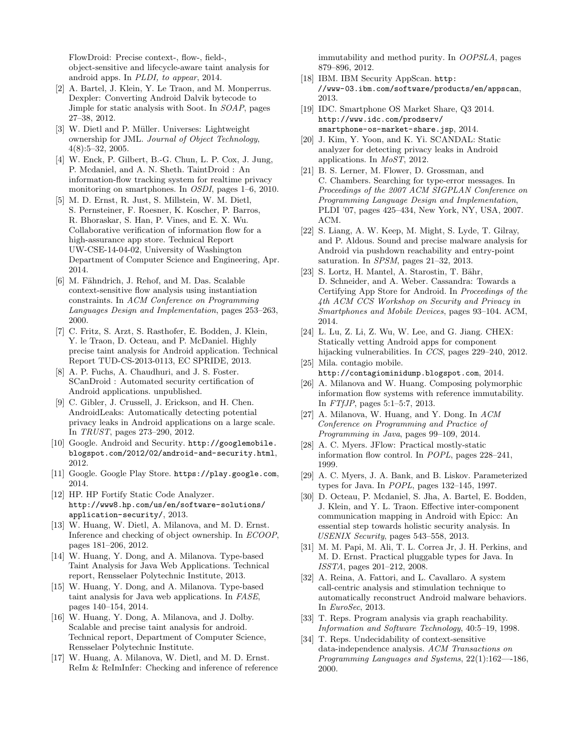FlowDroid: Precise context-, flow-, field-, object-sensitive and lifecycle-aware taint analysis for android apps. In *PLDI, to appear*, 2014.

- [2] A. Bartel, J. Klein, Y. Le Traon, and M. Monperrus. Dexpler: Converting Android Dalvik bytecode to Jimple for static analysis with Soot. In *SOAP*, pages 27–38, 2012.
- [3] W. Dietl and P. Müller. Universes: Lightweight ownership for JML. *Journal of Object Technology*, 4(8):5–32, 2005.
- [4] W. Enck, P. Gilbert, B.-G. Chun, L. P. Cox, J. Jung, P. Mcdaniel, and A. N. Sheth. TaintDroid : An information-flow tracking system for realtime privacy monitoring on smartphones. In *OSDI*, pages 1–6, 2010.
- [5] M. D. Ernst, R. Just, S. Millstein, W. M. Dietl, S. Pernsteiner, F. Roesner, K. Koscher, P. Barros, R. Bhoraskar, S. Han, P. Vines, and E. X. Wu. Collaborative verification of information flow for a high-assurance app store. Technical Report UW-CSE-14-04-02, University of Washington Department of Computer Science and Engineering, Apr. 2014.
- [6] M. Fähndrich, J. Rehof, and M. Das. Scalable context-sensitive flow analysis using instantiation constraints. In *ACM Conference on Programming Languages Design and Implementation*, pages 253–263, 2000.
- [7] C. Fritz, S. Arzt, S. Rasthofer, E. Bodden, J. Klein, Y. le Traon, D. Octeau, and P. McDaniel. Highly precise taint analysis for Android application. Technical Report TUD-CS-2013-0113, EC SPRIDE, 2013.
- [8] A. P. Fuchs, A. Chaudhuri, and J. S. Foster. SCanDroid : Automated security certification of Android applications. unpublished.
- [9] C. Gibler, J. Crussell, J. Erickson, and H. Chen. AndroidLeaks: Automatically detecting potential privacy leaks in Android applications on a large scale. In *TRUST*, pages 273–290, 2012.
- [10] Google. Android and Security. http://googlemobile. blogspot.com/2012/02/android-and-security.html, 2012.
- [11] Google. Google Play Store. https://play.google.com, 2014.
- [12] HP. HP Fortify Static Code Analyzer. http://www8.hp.com/us/en/software-solutions/ application-security/, 2013.
- [13] W. Huang, W. Dietl, A. Milanova, and M. D. Ernst. Inference and checking of object ownership. In *ECOOP*, pages 181–206, 2012.
- [14] W. Huang, Y. Dong, and A. Milanova. Type-based Taint Analysis for Java Web Applications. Technical report, Rensselaer Polytechnic Institute, 2013.
- [15] W. Huang, Y. Dong, and A. Milanova. Type-based taint analysis for Java web applications. In *FASE*, pages 140–154, 2014.
- [16] W. Huang, Y. Dong, A. Milanova, and J. Dolby. Scalable and precise taint analysis for android. Technical report, Department of Computer Science, Rensselaer Polytechnic Institute.
- [17] W. Huang, A. Milanova, W. Dietl, and M. D. Ernst. ReIm & ReImInfer: Checking and inference of reference

immutability and method purity. In *OOPSLA*, pages 879–896, 2012.

- [18] IBM. IBM Security AppScan. http: //www-03.ibm.com/software/products/en/appscan, 2013.
- [19] IDC. Smartphone OS Market Share, Q3 2014. http://www.idc.com/prodserv/ smartphone-os-market-share.jsp, 2014.
- [20] J. Kim, Y. Yoon, and K. Yi. SCANDAL: Static analyzer for detecting privacy leaks in Android applications. In *MoST*, 2012.
- [21] B. S. Lerner, M. Flower, D. Grossman, and C. Chambers. Searching for type-error messages. In *Proceedings of the 2007 ACM SIGPLAN Conference on Programming Language Design and Implementation*, PLDI '07, pages 425–434, New York, NY, USA, 2007. ACM.
- [22] S. Liang, A. W. Keep, M. Might, S. Lyde, T. Gilray, and P. Aldous. Sound and precise malware analysis for Android via pushdown reachability and entry-point saturation. In *SPSM*, pages 21–32, 2013.
- [23] S. Lortz, H. Mantel, A. Starostin, T. Bähr, D. Schneider, and A. Weber. Cassandra: Towards a Certifying App Store for Android. In *Proceedings of the 4th ACM CCS Workshop on Security and Privacy in Smartphones and Mobile Devices*, pages 93–104. ACM, 2014.
- [24] L. Lu, Z. Li, Z. Wu, W. Lee, and G. Jiang. CHEX: Statically vetting Android apps for component hijacking vulnerabilities. In *CCS*, pages 229–240, 2012.
- [25] Mila. contagio mobile. http://contagiominidump.blogspot.com, 2014.
- [26] A. Milanova and W. Huang. Composing polymorphic information flow systems with reference immutability. In *FTfJP*, pages 5:1–5:7, 2013.
- [27] A. Milanova, W. Huang, and Y. Dong. In *ACM Conference on Programming and Practice of Programming in Java*, pages 99–109, 2014.
- [28] A. C. Myers. JFlow: Practical mostly-static information flow control. In *POPL*, pages 228–241, 1999.
- [29] A. C. Myers, J. A. Bank, and B. Liskov. Parameterized types for Java. In *POPL*, pages 132–145, 1997.
- [30] D. Octeau, P. Mcdaniel, S. Jha, A. Bartel, E. Bodden, J. Klein, and Y. L. Traon. Effective inter-component communication mapping in Android with Epicc: An essential step towards holistic security analysis. In *USENIX Security*, pages 543–558, 2013.
- [31] M. M. Papi, M. Ali, T. L. Correa Jr, J. H. Perkins, and M. D. Ernst. Practical pluggable types for Java. In *ISSTA*, pages 201–212, 2008.
- [32] A. Reina, A. Fattori, and L. Cavallaro. A system call-centric analysis and stimulation technique to automatically reconstruct Android malware behaviors. In *EuroSec*, 2013.
- [33] T. Reps. Program analysis via graph reachability. *Information and Software Technology*, 40:5–19, 1998.
- [34] T. Reps. Undecidability of context-sensitive data-independence analysis. *ACM Transactions on Programming Languages and Systems*, 22(1):162—-186, 2000.